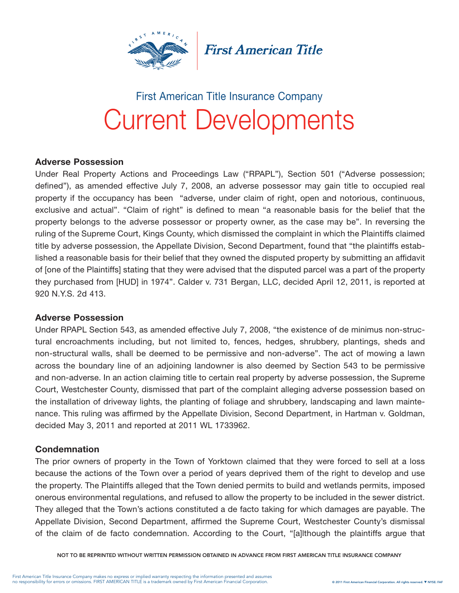

**First American Title** 

# Current Developments First American Title Insurance Company

## Adverse Possession

Under Real Property Actions and Proceedings Law ("RPAPL"), Section 501 ("Adverse possession; defined"), as amended effective July 7, 2008, an adverse possessor may gain title to occupied real property if the occupancy has been "adverse, under claim of right, open and notorious, continuous, exclusive and actual". "Claim of right" is defined to mean "a reasonable basis for the belief that the property belongs to the adverse possessor or property owner, as the case may be". In reversing the ruling of the Supreme Court, Kings County, which dismissed the complaint in which the Plaintiffs claimed title by adverse possession, the Appellate Division, Second Department, found that "the plaintiffs established a reasonable basis for their belief that they owned the disputed property by submitting an affidavit of [one of the Plaintiffs] stating that they were advised that the disputed parcel was a part of the property they purchased from [HUD] in 1974". Calder v. 731 Bergan, LLC, decided April 12, 2011, is reported at 920 N.Y.S. 2d 413.

## Adverse Possession

Under RPAPL Section 543, as amended effective July 7, 2008, "the existence of de minimus non-structural encroachments including, but not limited to, fences, hedges, shrubbery, plantings, sheds and non-structural walls, shall be deemed to be permissive and non-adverse". The act of mowing a lawn across the boundary line of an adjoining landowner is also deemed by Section 543 to be permissive and non-adverse. In an action claiming title to certain real property by adverse possession, the Supreme Court, Westchester County, dismissed that part of the complaint alleging adverse possession based on the installation of driveway lights, the planting of foliage and shrubbery, landscaping and lawn maintenance. This ruling was affirmed by the Appellate Division, Second Department, in Hartman v. Goldman, decided May 3, 2011 and reported at 2011 WL 1733962.

## **Condemnation**

The prior owners of property in the Town of Yorktown claimed that they were forced to sell at a loss because the actions of the Town over a period of years deprived them of the right to develop and use the property. The Plaintiffs alleged that the Town denied permits to build and wetlands permits, imposed onerous environmental regulations, and refused to allow the property to be included in the sewer district. They alleged that the Town's actions constituted a de facto taking for which damages are payable. The Appellate Division, Second Department, affirmed the Supreme Court, Westchester County's dismissal of the claim of de facto condemnation. According to the Court, "[a]lthough the plaintiffs argue that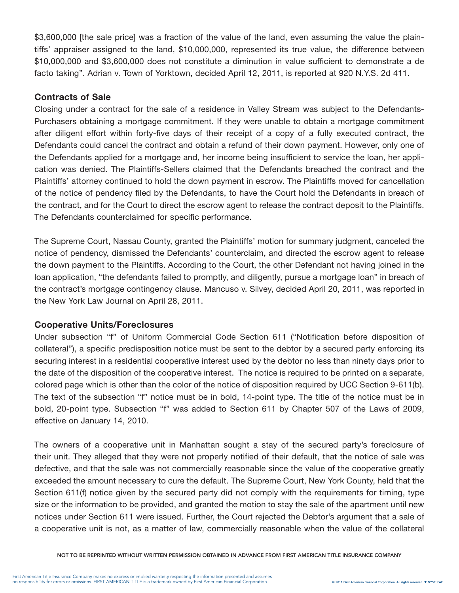\$3,600,000 [the sale price] was a fraction of the value of the land, even assuming the value the plaintiffs' appraiser assigned to the land, \$10,000,000, represented its true value, the difference between \$10,000,000 and \$3,600,000 does not constitute a diminution in value sufficient to demonstrate a de facto taking". Adrian v. Town of Yorktown, decided April 12, 2011, is reported at 920 N.Y.S. 2d 411.

## Contracts of Sale

Closing under a contract for the sale of a residence in Valley Stream was subject to the Defendants-Purchasers obtaining a mortgage commitment. If they were unable to obtain a mortgage commitment after diligent effort within forty-five days of their receipt of a copy of a fully executed contract, the Defendants could cancel the contract and obtain a refund of their down payment. However, only one of the Defendants applied for a mortgage and, her income being insufficient to service the loan, her application was denied. The Plaintiffs-Sellers claimed that the Defendants breached the contract and the Plaintiffs' attorney continued to hold the down payment in escrow. The Plaintiffs moved for cancellation of the notice of pendency filed by the Defendants, to have the Court hold the Defendants in breach of the contract, and for the Court to direct the escrow agent to release the contract deposit to the Plaintiffs. The Defendants counterclaimed for specific performance.

The Supreme Court, Nassau County, granted the Plaintiffs' motion for summary judgment, canceled the notice of pendency, dismissed the Defendants' counterclaim, and directed the escrow agent to release the down payment to the Plaintiffs. According to the Court, the other Defendant not having joined in the loan application, "the defendants failed to promptly, and diligently, pursue a mortgage loan" in breach of the contract's mortgage contingency clause. Mancuso v. Silvey, decided April 20, 2011, was reported in the New York Law Journal on April 28, 2011.

## Cooperative Units/Foreclosures

Under subsection "f" of Uniform Commercial Code Section 611 ("Notification before disposition of collateral"), a specific predisposition notice must be sent to the debtor by a secured party enforcing its securing interest in a residential cooperative interest used by the debtor no less than ninety days prior to the date of the disposition of the cooperative interest. The notice is required to be printed on a separate, colored page which is other than the color of the notice of disposition required by UCC Section 9-611(b). The text of the subsection "f" notice must be in bold, 14-point type. The title of the notice must be in bold, 20-point type. Subsection "f" was added to Section 611 by Chapter 507 of the Laws of 2009, effective on January 14, 2010.

The owners of a cooperative unit in Manhattan sought a stay of the secured party's foreclosure of their unit. They alleged that they were not properly notified of their default, that the notice of sale was defective, and that the sale was not commercially reasonable since the value of the cooperative greatly exceeded the amount necessary to cure the default. The Supreme Court, New York County, held that the Section 611(f) notice given by the secured party did not comply with the requirements for timing, type size or the information to be provided, and granted the motion to stay the sale of the apartment until new notices under Section 611 were issued. Further, the Court rejected the Debtor's argument that a sale of a cooperative unit is not, as a matter of law, commercially reasonable when the value of the collateral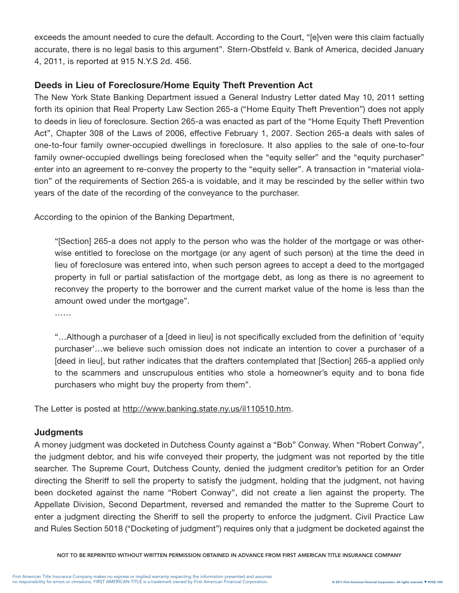exceeds the amount needed to cure the default. According to the Court, "[e]ven were this claim factually accurate, there is no legal basis to this argument". Stern-Obstfeld v. Bank of America, decided January 4, 2011, is reported at 915 N.Y.S 2d. 456.

## Deeds in Lieu of Foreclosure/Home Equity Theft Prevention Act

The New York State Banking Department issued a General Industry Letter dated May 10, 2011 setting forth its opinion that Real Property Law Section 265-a ("Home Equity Theft Prevention") does not apply to deeds in lieu of foreclosure. Section 265-a was enacted as part of the "Home Equity Theft Prevention Act", Chapter 308 of the Laws of 2006, effective February 1, 2007. Section 265-a deals with sales of one-to-four family owner-occupied dwellings in foreclosure. It also applies to the sale of one-to-four family owner-occupied dwellings being foreclosed when the "equity seller" and the "equity purchaser" enter into an agreement to re-convey the property to the "equity seller". A transaction in "material violation" of the requirements of Section 265-a is voidable, and it may be rescinded by the seller within two years of the date of the recording of the conveyance to the purchaser.

According to the opinion of the Banking Department,

"[Section] 265-a does not apply to the person who was the holder of the mortgage or was otherwise entitled to foreclose on the mortgage (or any agent of such person) at the time the deed in lieu of foreclosure was entered into, when such person agrees to accept a deed to the mortgaged property in full or partial satisfaction of the mortgage debt, as long as there is no agreement to reconvey the property to the borrower and the current market value of the home is less than the amount owed under the mortgage".

……

"…Although a purchaser of a [deed in lieu] is not specifically excluded from the definition of 'equity purchaser'…we believe such omission does not indicate an intention to cover a purchaser of a [deed in lieu], but rather indicates that the drafters contemplated that [Section] 265-a applied only to the scammers and unscrupulous entities who stole a homeowner's equity and to bona fide purchasers who might buy the property from them".

The Letter is posted at http://www.banking.state.ny.us/il110510.htm.

## **Judgments**

A money judgment was docketed in Dutchess County against a "Bob" Conway. When "Robert Conway", the judgment debtor, and his wife conveyed their property, the judgment was not reported by the title searcher. The Supreme Court, Dutchess County, denied the judgment creditor's petition for an Order directing the Sheriff to sell the property to satisfy the judgment, holding that the judgment, not having been docketed against the name "Robert Conway", did not create a lien against the property. The Appellate Division, Second Department, reversed and remanded the matter to the Supreme Court to enter a judgment directing the Sheriff to sell the property to enforce the judgment. Civil Practice Law and Rules Section 5018 ("Docketing of judgment") requires only that a judgment be docketed against the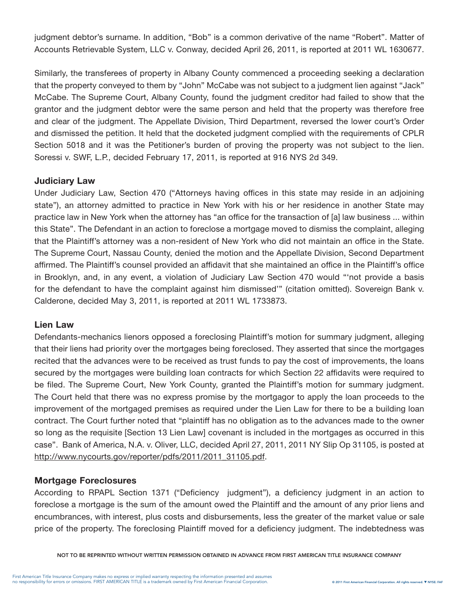judgment debtor's surname. In addition, "Bob" is a common derivative of the name "Robert". Matter of Accounts Retrievable System, LLC v. Conway, decided April 26, 2011, is reported at 2011 WL 1630677.

Similarly, the transferees of property in Albany County commenced a proceeding seeking a declaration that the property conveyed to them by "John" McCabe was not subject to a judgment lien against "Jack" McCabe. The Supreme Court, Albany County, found the judgment creditor had failed to show that the grantor and the judgment debtor were the same person and held that the property was therefore free and clear of the judgment. The Appellate Division, Third Department, reversed the lower court's Order and dismissed the petition. It held that the docketed judgment complied with the requirements of CPLR Section 5018 and it was the Petitioner's burden of proving the property was not subject to the lien. Soressi v. SWF, L.P., decided February 17, 2011, is reported at 916 NYS 2d 349.

## Judiciary Law

Under Judiciary Law, Section 470 ("Attorneys having offices in this state may reside in an adjoining state"), an attorney admitted to practice in New York with his or her residence in another State may practice law in New York when the attorney has "an office for the transaction of [a] law business ... within this State". The Defendant in an action to foreclose a mortgage moved to dismiss the complaint, alleging that the Plaintiff's attorney was a non-resident of New York who did not maintain an office in the State. The Supreme Court, Nassau County, denied the motion and the Appellate Division, Second Department affirmed. The Plaintiff's counsel provided an affidavit that she maintained an office in the Plaintiff's office in Brooklyn, and, in any event, a violation of Judiciary Law Section 470 would "'not provide a basis for the defendant to have the complaint against him dismissed'" (citation omitted). Sovereign Bank v. Calderone, decided May 3, 2011, is reported at 2011 WL 1733873.

## Lien Law

Defendants-mechanics lienors opposed a foreclosing Plaintiff's motion for summary judgment, alleging that their liens had priority over the mortgages being foreclosed. They asserted that since the mortgages recited that the advances were to be received as trust funds to pay the cost of improvements, the loans secured by the mortgages were building loan contracts for which Section 22 affidavits were required to be filed. The Supreme Court, New York County, granted the Plaintiff's motion for summary judgment. The Court held that there was no express promise by the mortgagor to apply the loan proceeds to the improvement of the mortgaged premises as required under the Lien Law for there to be a building loan contract. The Court further noted that "plaintiff has no obligation as to the advances made to the owner so long as the requisite [Section 13 Lien Law] covenant is included in the mortgages as occurred in this case". Bank of America, N.A. v. Oliver, LLC, decided April 27, 2011, 2011 NY Slip Op 31105, is posted at http://www.nycourts.gov/reporter/pdfs/2011/2011\_31105.pdf.

# Mortgage Foreclosures

According to RPAPL Section 1371 ("Deficiency judgment"), a deficiency judgment in an action to foreclose a mortgage is the sum of the amount owed the Plaintiff and the amount of any prior liens and encumbrances, with interest, plus costs and disbursements, less the greater of the market value or sale price of the property. The foreclosing Plaintiff moved for a deficiency judgment. The indebtedness was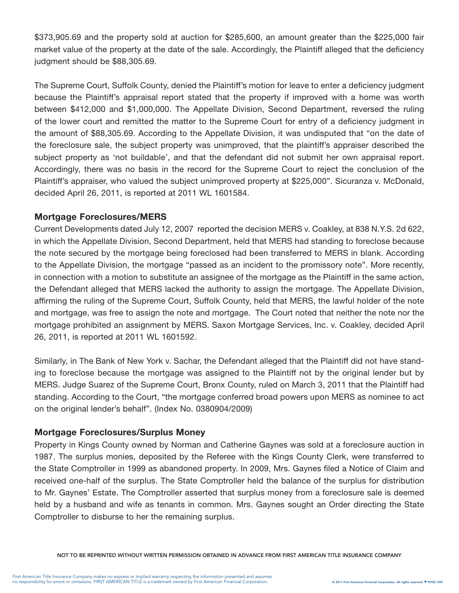\$373,905.69 and the property sold at auction for \$285,600, an amount greater than the \$225,000 fair market value of the property at the date of the sale. Accordingly, the Plaintiff alleged that the deficiency judgment should be \$88,305.69.

The Supreme Court, Suffolk County, denied the Plaintiff's motion for leave to enter a deficiency judgment because the Plaintiff's appraisal report stated that the property if improved with a home was worth between \$412,000 and \$1,000,000. The Appellate Division, Second Department, reversed the ruling of the lower court and remitted the matter to the Supreme Court for entry of a deficiency judgment in the amount of \$88,305.69. According to the Appellate Division, it was undisputed that "on the date of the foreclosure sale, the subject property was unimproved, that the plaintiff's appraiser described the subject property as 'not buildable', and that the defendant did not submit her own appraisal report. Accordingly, there was no basis in the record for the Supreme Court to reject the conclusion of the Plaintiff's appraiser, who valued the subject unimproved property at \$225,000". Sicuranza v. McDonald, decided April 26, 2011, is reported at 2011 WL 1601584.

#### Mortgage Foreclosures/MERS

Current Developments dated July 12, 2007 reported the decision MERS v. Coakley, at 838 N.Y.S. 2d 622, in which the Appellate Division, Second Department, held that MERS had standing to foreclose because the note secured by the mortgage being foreclosed had been transferred to MERS in blank. According to the Appellate Division, the mortgage "passed as an incident to the promissory note". More recently, in connection with a motion to substitute an assignee of the mortgage as the Plaintiff in the same action, the Defendant alleged that MERS lacked the authority to assign the mortgage. The Appellate Division, affirming the ruling of the Supreme Court, Suffolk County, held that MERS, the lawful holder of the note and mortgage, was free to assign the note and mortgage. The Court noted that neither the note nor the mortgage prohibited an assignment by MERS. Saxon Mortgage Services, Inc. v. Coakley, decided April 26, 2011, is reported at 2011 WL 1601592.

Similarly, in The Bank of New York v. Sachar, the Defendant alleged that the Plaintiff did not have standing to foreclose because the mortgage was assigned to the Plaintiff not by the original lender but by MERS. Judge Suarez of the Supreme Court, Bronx County, ruled on March 3, 2011 that the Plaintiff had standing. According to the Court, "the mortgage conferred broad powers upon MERS as nominee to act on the original lender's behalf". (Index No. 0380904/2009)

## Mortgage Foreclosures/Surplus Money

Property in Kings County owned by Norman and Catherine Gaynes was sold at a foreclosure auction in 1987. The surplus monies, deposited by the Referee with the Kings County Clerk, were transferred to the State Comptroller in 1999 as abandoned property. In 2009, Mrs. Gaynes filed a Notice of Claim and received one-half of the surplus. The State Comptroller held the balance of the surplus for distribution to Mr. Gaynes' Estate. The Comptroller asserted that surplus money from a foreclosure sale is deemed held by a husband and wife as tenants in common. Mrs. Gaynes sought an Order directing the State Comptroller to disburse to her the remaining surplus.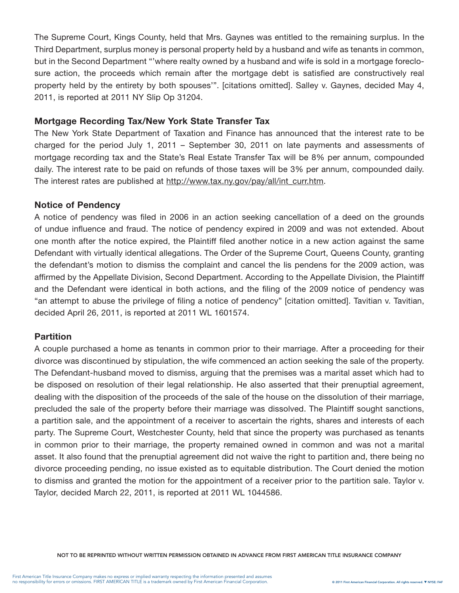The Supreme Court, Kings County, held that Mrs. Gaynes was entitled to the remaining surplus. In the Third Department, surplus money is personal property held by a husband and wife as tenants in common, but in the Second Department "'where realty owned by a husband and wife is sold in a mortgage foreclosure action, the proceeds which remain after the mortgage debt is satisfied are constructively real property held by the entirety by both spouses'". [citations omitted]. Salley v. Gaynes, decided May 4, 2011, is reported at 2011 NY Slip Op 31204.

#### Mortgage Recording Tax/New York State Transfer Tax

The New York State Department of Taxation and Finance has announced that the interest rate to be charged for the period July 1, 2011 – September 30, 2011 on late payments and assessments of mortgage recording tax and the State's Real Estate Transfer Tax will be 8% per annum, compounded daily. The interest rate to be paid on refunds of those taxes will be 3% per annum, compounded daily. The interest rates are published at http://www.tax.ny.gov/pay/all/int\_curr.htm.

#### Notice of Pendency

A notice of pendency was filed in 2006 in an action seeking cancellation of a deed on the grounds of undue influence and fraud. The notice of pendency expired in 2009 and was not extended. About one month after the notice expired, the Plaintiff filed another notice in a new action against the same Defendant with virtually identical allegations. The Order of the Supreme Court, Queens County, granting the defendant's motion to dismiss the complaint and cancel the lis pendens for the 2009 action, was affirmed by the Appellate Division, Second Department. According to the Appellate Division, the Plaintiff and the Defendant were identical in both actions, and the filing of the 2009 notice of pendency was "an attempt to abuse the privilege of filing a notice of pendency" [citation omitted]. Tavitian v. Tavitian, decided April 26, 2011, is reported at 2011 WL 1601574.

## **Partition**

A couple purchased a home as tenants in common prior to their marriage. After a proceeding for their divorce was discontinued by stipulation, the wife commenced an action seeking the sale of the property. The Defendant-husband moved to dismiss, arguing that the premises was a marital asset which had to be disposed on resolution of their legal relationship. He also asserted that their prenuptial agreement, dealing with the disposition of the proceeds of the sale of the house on the dissolution of their marriage, precluded the sale of the property before their marriage was dissolved. The Plaintiff sought sanctions, a partition sale, and the appointment of a receiver to ascertain the rights, shares and interests of each party. The Supreme Court, Westchester County, held that since the property was purchased as tenants in common prior to their marriage, the property remained owned in common and was not a marital asset. It also found that the prenuptial agreement did not waive the right to partition and, there being no divorce proceeding pending, no issue existed as to equitable distribution. The Court denied the motion to dismiss and granted the motion for the appointment of a receiver prior to the partition sale. Taylor v. Taylor, decided March 22, 2011, is reported at 2011 WL 1044586.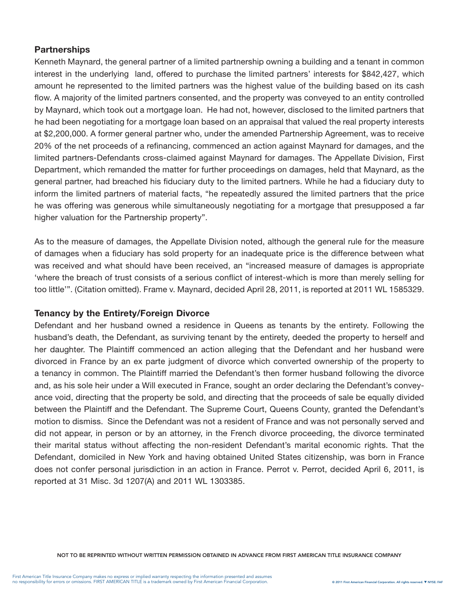## **Partnerships**

Kenneth Maynard, the general partner of a limited partnership owning a building and a tenant in common interest in the underlying land, offered to purchase the limited partners' interests for \$842,427, which amount he represented to the limited partners was the highest value of the building based on its cash flow. A majority of the limited partners consented, and the property was conveyed to an entity controlled by Maynard, which took out a mortgage loan. He had not, however, disclosed to the limited partners that he had been negotiating for a mortgage loan based on an appraisal that valued the real property interests at \$2,200,000. A former general partner who, under the amended Partnership Agreement, was to receive 20% of the net proceeds of a refinancing, commenced an action against Maynard for damages, and the limited partners-Defendants cross-claimed against Maynard for damages. The Appellate Division, First Department, which remanded the matter for further proceedings on damages, held that Maynard, as the general partner, had breached his fiduciary duty to the limited partners. While he had a fiduciary duty to inform the limited partners of material facts, "he repeatedly assured the limited partners that the price he was offering was generous while simultaneously negotiating for a mortgage that presupposed a far higher valuation for the Partnership property".

As to the measure of damages, the Appellate Division noted, although the general rule for the measure of damages when a fiduciary has sold property for an inadequate price is the difference between what was received and what should have been received, an "increased measure of damages is appropriate 'where the breach of trust consists of a serious conflict of interest-which is more than merely selling for too little'". (Citation omitted). Frame v. Maynard, decided April 28, 2011, is reported at 2011 WL 1585329.

## Tenancy by the Entirety/Foreign Divorce

Defendant and her husband owned a residence in Queens as tenants by the entirety. Following the husband's death, the Defendant, as surviving tenant by the entirety, deeded the property to herself and her daughter. The Plaintiff commenced an action alleging that the Defendant and her husband were divorced in France by an ex parte judgment of divorce which converted ownership of the property to a tenancy in common. The Plaintiff married the Defendant's then former husband following the divorce and, as his sole heir under a Will executed in France, sought an order declaring the Defendant's conveyance void, directing that the property be sold, and directing that the proceeds of sale be equally divided between the Plaintiff and the Defendant. The Supreme Court, Queens County, granted the Defendant's motion to dismiss. Since the Defendant was not a resident of France and was not personally served and did not appear, in person or by an attorney, in the French divorce proceeding, the divorce terminated their marital status without affecting the non-resident Defendant's marital economic rights. That the Defendant, domiciled in New York and having obtained United States citizenship, was born in France does not confer personal jurisdiction in an action in France. Perrot v. Perrot, decided April 6, 2011, is reported at 31 Misc. 3d 1207(A) and 2011 WL 1303385.